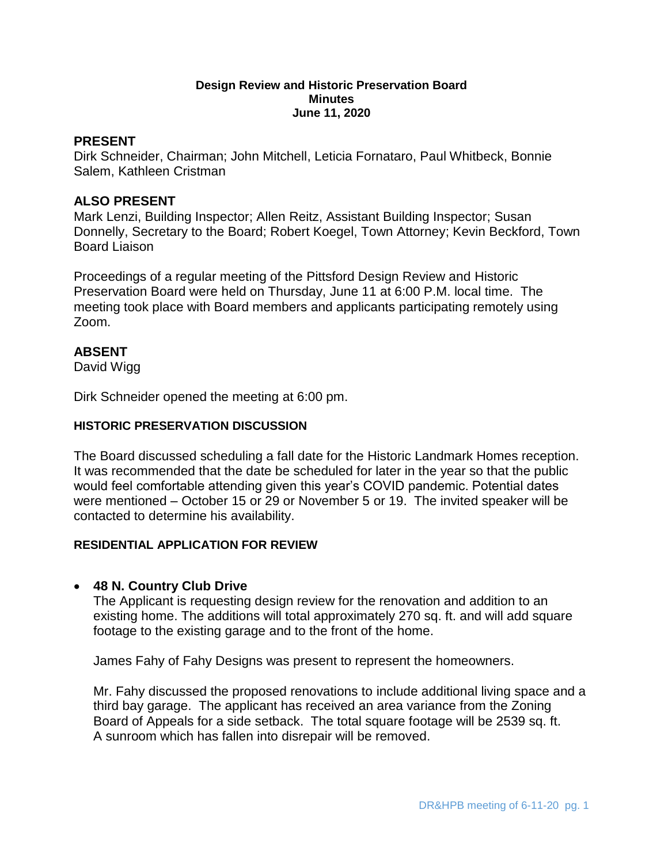#### **Design Review and Historic Preservation Board Minutes June 11, 2020**

### **PRESENT**

Dirk Schneider, Chairman; John Mitchell, Leticia Fornataro, Paul Whitbeck, Bonnie Salem, Kathleen Cristman

### **ALSO PRESENT**

Mark Lenzi, Building Inspector; Allen Reitz, Assistant Building Inspector; Susan Donnelly, Secretary to the Board; Robert Koegel, Town Attorney; Kevin Beckford, Town Board Liaison

Proceedings of a regular meeting of the Pittsford Design Review and Historic Preservation Board were held on Thursday, June 11 at 6:00 P.M. local time. The meeting took place with Board members and applicants participating remotely using Zoom.

### **ABSENT**

David Wigg

Dirk Schneider opened the meeting at 6:00 pm.

### **HISTORIC PRESERVATION DISCUSSION**

The Board discussed scheduling a fall date for the Historic Landmark Homes reception. It was recommended that the date be scheduled for later in the year so that the public would feel comfortable attending given this year's COVID pandemic. Potential dates were mentioned – October 15 or 29 or November 5 or 19. The invited speaker will be contacted to determine his availability.

### **RESIDENTIAL APPLICATION FOR REVIEW**

### **48 N. Country Club Drive**

The Applicant is requesting design review for the renovation and addition to an existing home. The additions will total approximately 270 sq. ft. and will add square footage to the existing garage and to the front of the home.

James Fahy of Fahy Designs was present to represent the homeowners.

Mr. Fahy discussed the proposed renovations to include additional living space and a third bay garage. The applicant has received an area variance from the Zoning Board of Appeals for a side setback. The total square footage will be 2539 sq. ft. A sunroom which has fallen into disrepair will be removed.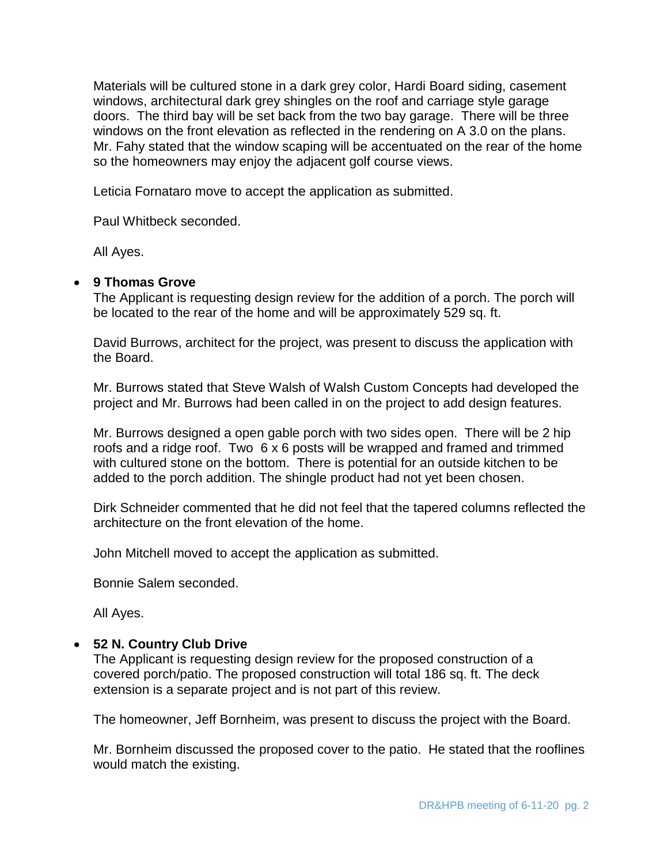Materials will be cultured stone in a dark grey color, Hardi Board siding, casement windows, architectural dark grey shingles on the roof and carriage style garage doors. The third bay will be set back from the two bay garage. There will be three windows on the front elevation as reflected in the rendering on A 3.0 on the plans. Mr. Fahy stated that the window scaping will be accentuated on the rear of the home so the homeowners may enjoy the adjacent golf course views.

Leticia Fornataro move to accept the application as submitted.

Paul Whitbeck seconded.

All Ayes.

## **9 Thomas Grove**

The Applicant is requesting design review for the addition of a porch. The porch will be located to the rear of the home and will be approximately 529 sq. ft.

David Burrows, architect for the project, was present to discuss the application with the Board.

Mr. Burrows stated that Steve Walsh of Walsh Custom Concepts had developed the project and Mr. Burrows had been called in on the project to add design features.

Mr. Burrows designed a open gable porch with two sides open. There will be 2 hip roofs and a ridge roof. Two 6 x 6 posts will be wrapped and framed and trimmed with cultured stone on the bottom. There is potential for an outside kitchen to be added to the porch addition. The shingle product had not yet been chosen.

Dirk Schneider commented that he did not feel that the tapered columns reflected the architecture on the front elevation of the home.

John Mitchell moved to accept the application as submitted.

Bonnie Salem seconded.

All Ayes.

## **52 N. Country Club Drive**

The Applicant is requesting design review for the proposed construction of a covered porch/patio. The proposed construction will total 186 sq. ft. The deck extension is a separate project and is not part of this review.

The homeowner, Jeff Bornheim, was present to discuss the project with the Board.

Mr. Bornheim discussed the proposed cover to the patio. He stated that the rooflines would match the existing.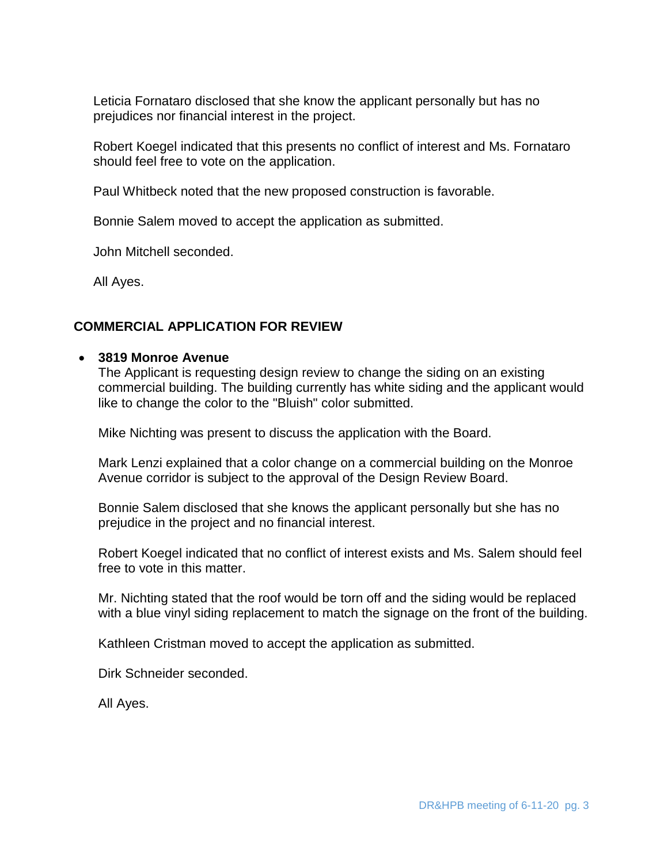Leticia Fornataro disclosed that she know the applicant personally but has no prejudices nor financial interest in the project.

Robert Koegel indicated that this presents no conflict of interest and Ms. Fornataro should feel free to vote on the application.

Paul Whitbeck noted that the new proposed construction is favorable.

Bonnie Salem moved to accept the application as submitted.

John Mitchell seconded.

All Ayes.

# **COMMERCIAL APPLICATION FOR REVIEW**

## **3819 Monroe Avenue**

The Applicant is requesting design review to change the siding on an existing commercial building. The building currently has white siding and the applicant would like to change the color to the "Bluish" color submitted.

Mike Nichting was present to discuss the application with the Board.

Mark Lenzi explained that a color change on a commercial building on the Monroe Avenue corridor is subject to the approval of the Design Review Board.

Bonnie Salem disclosed that she knows the applicant personally but she has no prejudice in the project and no financial interest.

Robert Koegel indicated that no conflict of interest exists and Ms. Salem should feel free to vote in this matter.

Mr. Nichting stated that the roof would be torn off and the siding would be replaced with a blue vinyl siding replacement to match the signage on the front of the building.

Kathleen Cristman moved to accept the application as submitted.

Dirk Schneider seconded.

All Ayes.